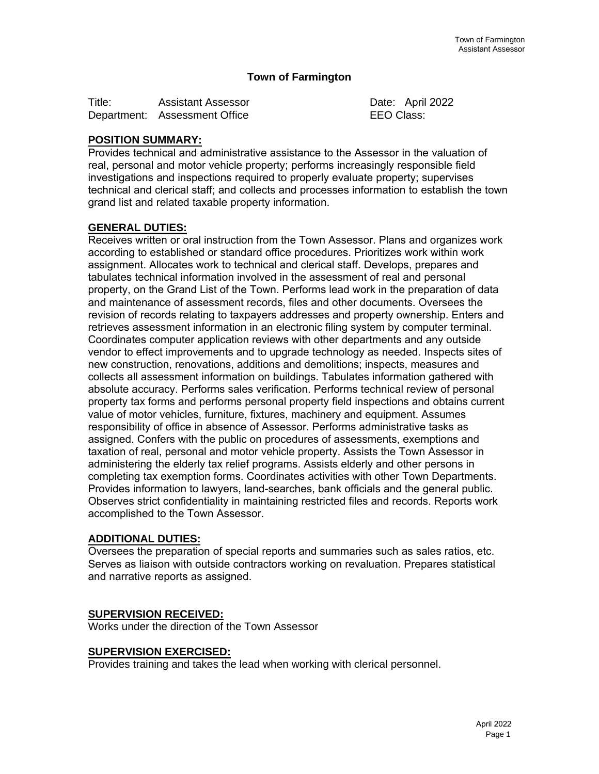### **Town of Farmington**

| Title:      | <b>Assistant Assessor</b> |
|-------------|---------------------------|
| Department: | <b>Assessment Office</b>  |

Date: April 2022 **EEO Class:** 

# **POSITION SUMMARY:**

Provides technical and administrative assistance to the Assessor in the valuation of real, personal and motor vehicle property; performs increasingly responsible field investigations and inspections required to properly evaluate property; supervises technical and clerical staff; and collects and processes information to establish the town grand list and related taxable property information.

## **GENERAL DUTIES:**

Receives written or oral instruction from the Town Assessor. Plans and organizes work according to established or standard office procedures. Prioritizes work within work assignment. Allocates work to technical and clerical staff. Develops, prepares and tabulates technical information involved in the assessment of real and personal property, on the Grand List of the Town. Performs lead work in the preparation of data and maintenance of assessment records, files and other documents. Oversees the revision of records relating to taxpayers addresses and property ownership. Enters and retrieves assessment information in an electronic filing system by computer terminal. Coordinates computer application reviews with other departments and any outside vendor to effect improvements and to upgrade technology as needed. Inspects sites of new construction, renovations, additions and demolitions; inspects, measures and collects all assessment information on buildings. Tabulates information gathered with absolute accuracy. Performs sales verification. Performs technical review of personal property tax forms and performs personal property field inspections and obtains current value of motor vehicles, furniture, fixtures, machinery and equipment. Assumes responsibility of office in absence of Assessor. Performs administrative tasks as assigned. Confers with the public on procedures of assessments, exemptions and taxation of real, personal and motor vehicle property. Assists the Town Assessor in administering the elderly tax relief programs. Assists elderly and other persons in completing tax exemption forms. Coordinates activities with other Town Departments. Provides information to lawyers, land-searches, bank officials and the general public. Observes strict confidentiality in maintaining restricted files and records. Reports work accomplished to the Town Assessor.

## **ADDITIONAL DUTIES:**

Oversees the preparation of special reports and summaries such as sales ratios, etc. Serves as liaison with outside contractors working on revaluation. Prepares statistical and narrative reports as assigned.

## **SUPERVISION RECEIVED:**

Works under the direction of the Town Assessor

#### **SUPERVISION EXERCISED:**

Provides training and takes the lead when working with clerical personnel.